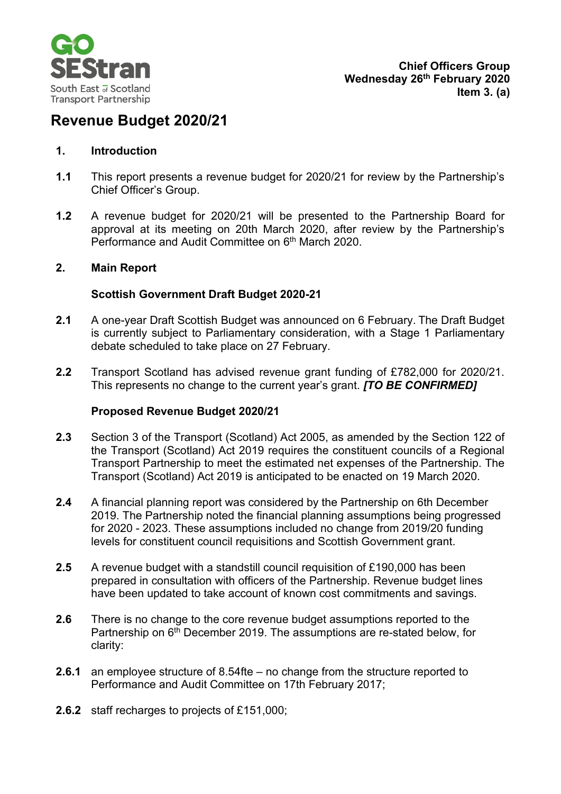

# **Revenue Budget 2020/21**

### **1. Introduction**

- **1.1** This report presents a revenue budget for 2020/21 for review by the Partnership's Chief Officer's Group.
- **1.2** A revenue budget for 2020/21 will be presented to the Partnership Board for approval at its meeting on 20th March 2020, after review by the Partnership's Performance and Audit Committee on 6<sup>th</sup> March 2020.

#### **2. Main Report**

#### **Scottish Government Draft Budget 2020-21**

- **2.1** A one-year Draft Scottish Budget was announced on 6 February. The Draft Budget is currently subject to Parliamentary consideration, with a Stage 1 Parliamentary debate scheduled to take place on 27 February.
- **2.2** Transport Scotland has advised revenue grant funding of £782,000 for 2020/21. This represents no change to the current year's grant. *[TO BE CONFIRMED]*

#### **Proposed Revenue Budget 2020/21**

- **2.3** Section 3 of the Transport (Scotland) Act 2005, as amended by the Section 122 of the Transport (Scotland) Act 2019 requires the constituent councils of a Regional Transport Partnership to meet the estimated net expenses of the Partnership. The Transport (Scotland) Act 2019 is anticipated to be enacted on 19 March 2020.
- **2.4** A financial planning report was considered by the Partnership on 6th December 2019. The Partnership noted the financial planning assumptions being progressed for 2020 - 2023. These assumptions included no change from 2019/20 funding levels for constituent council requisitions and Scottish Government grant.
- **2.5** A revenue budget with a standstill council requisition of £190,000 has been prepared in consultation with officers of the Partnership. Revenue budget lines have been updated to take account of known cost commitments and savings.
- **2.6** There is no change to the core revenue budget assumptions reported to the Partnership on 6<sup>th</sup> December 2019. The assumptions are re-stated below, for clarity:
- **2.6.1** an employee structure of 8.54fte no change from the structure reported to Performance and Audit Committee on 17th February 2017;
- **2.6.2** staff recharges to projects of £151,000;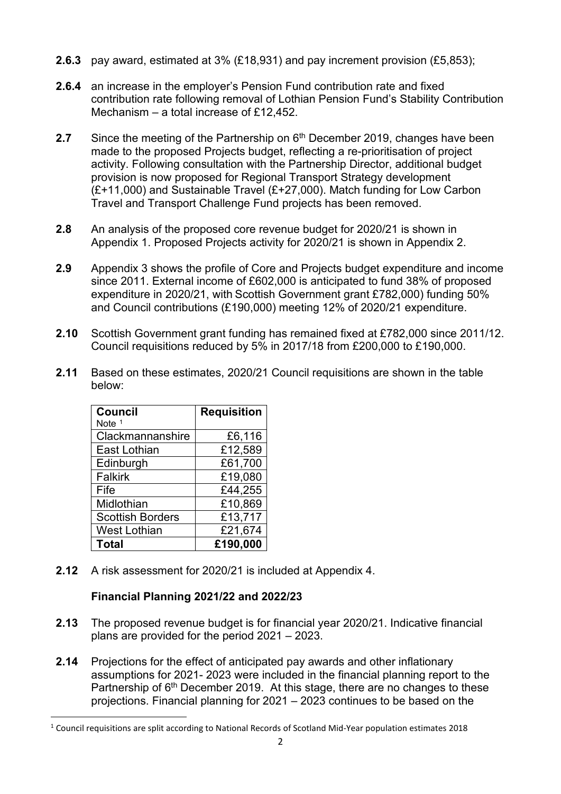- **2.6.3** pay award, estimated at 3% (£18,931) and pay increment provision (£5,853);
- **2.6.4** an increase in the employer's Pension Fund contribution rate and fixed contribution rate following removal of Lothian Pension Fund's Stability Contribution Mechanism – a total increase of £12,452.
- **2.7** Since the meeting of the Partnership on 6<sup>th</sup> December 2019, changes have been made to the proposed Projects budget, reflecting a re-prioritisation of project activity. Following consultation with the Partnership Director, additional budget provision is now proposed for Regional Transport Strategy development  $(E+11,000)$  and Sustainable Travel  $(E+27,000)$ . Match funding for Low Carbon Travel and Transport Challenge Fund projects has been removed.
- **2.8** An analysis of the proposed core revenue budget for 2020/21 is shown in Appendix 1. Proposed Projects activity for 2020/21 is shown in Appendix 2.
- **2.9** Appendix 3 shows the profile of Core and Projects budget expenditure and income since 2011. External income of £602,000 is anticipated to fund 38% of proposed expenditure in 2020/21, with Scottish Government grant £782,000) funding 50% and Council contributions (£190,000) meeting 12% of 2020/21 expenditure.
- **2.10** Scottish Government grant funding has remained fixed at £782,000 since 2011/12. Council requisitions reduced by 5% in 2017/18 from £200,000 to £190,000.
- **2.11** Based on these estimates, 2020/21 Council requisitions are shown in the table below:

| <b>Council</b>          | <b>Requisition</b> |
|-------------------------|--------------------|
| Note $1$                |                    |
| Clackmannanshire        | £6,116             |
| East Lothian            | £12,589            |
| Edinburgh               | £61,700            |
| <b>Falkirk</b>          | £19,080            |
| Fife                    | £44,255            |
| Midlothian              | £10,869            |
| <b>Scottish Borders</b> | £13,717            |
| West Lothian            | £21,674            |
| <b>Total</b>            | £190,000           |

**2.12** A risk assessment for 2020/21 is included at Appendix 4.

## **Financial Planning 2021/22 and 2022/23**

- **2.13** The proposed revenue budget is for financial year 2020/21. Indicative financial plans are provided for the period 2021 – 2023.
- **2.14** Projections for the effect of anticipated pay awards and other inflationary assumptions for 2021- 2023 were included in the financial planning report to the Partnership of 6<sup>th</sup> December 2019. At this stage, there are no changes to these projections. Financial planning for 2021 – 2023 continues to be based on the

<span id="page-1-0"></span><sup>1</sup> Council requisitions are split according to National Records of Scotland Mid-Year population estimates 2018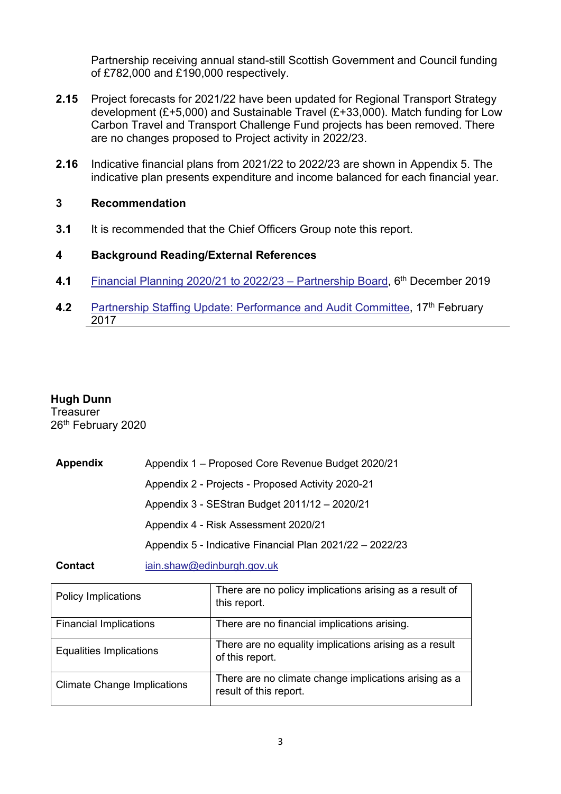Partnership receiving annual stand-still Scottish Government and Council funding of £782,000 and £190,000 respectively.

- **2.15** Project forecasts for 2021/22 have been updated for Regional Transport Strategy development (£+5,000) and Sustainable Travel (£+33,000). Match funding for Low Carbon Travel and Transport Challenge Fund projects has been removed. There are no changes proposed to Project activity in 2022/23.
- **2.16** Indicative financial plans from 2021/22 to 2022/23 are shown in Appendix 5. The indicative plan presents expenditure and income balanced for each financial year.

#### **3 Recommendation**

**3.1** It is recommended that the Chief Officers Group note this report.

#### **4 Background Reading/External References**

- **4.1** [Financial Planning 2020/21 to 2022/23 –](https://www.sestran.gov.uk/wp-content/uploads/2018/12/2019-12-06-Item-A2a-Financial-Planning-Report-2020-23.pdf) Partnership Board, 6th December 2019
- **4.2** [Partnership Staffing Update: Performance and Audit Committee,](https://www.sestran.gov.uk/wp-content/uploads/2017/03/1487839540.pdf) 17<sup>th</sup> February 2017

#### **Hugh Dunn**

**Treasurer** 26<sup>th</sup> February 2020

| Appendix | Appendix 1 - Proposed Core Revenue Budget 2020/21        |
|----------|----------------------------------------------------------|
|          | Appendix 2 - Projects - Proposed Activity 2020-21        |
|          | Appendix 3 - SEStran Budget 2011/12 - 2020/21            |
|          | Appendix 4 - Risk Assessment 2020/21                     |
|          | Appendix 5 - Indicative Financial Plan 2021/22 - 2022/23 |
|          |                                                          |

**Contact** [iain.shaw@edinburgh.gov.uk](mailto:iain.shaw@edinburgh.gov.uk)

| <b>Policy Implications</b>         | There are no policy implications arising as a result of<br>this report.         |
|------------------------------------|---------------------------------------------------------------------------------|
| <b>Financial Implications</b>      | There are no financial implications arising.                                    |
| <b>Equalities Implications</b>     | There are no equality implications arising as a result<br>of this report.       |
| <b>Climate Change Implications</b> | There are no climate change implications arising as a<br>result of this report. |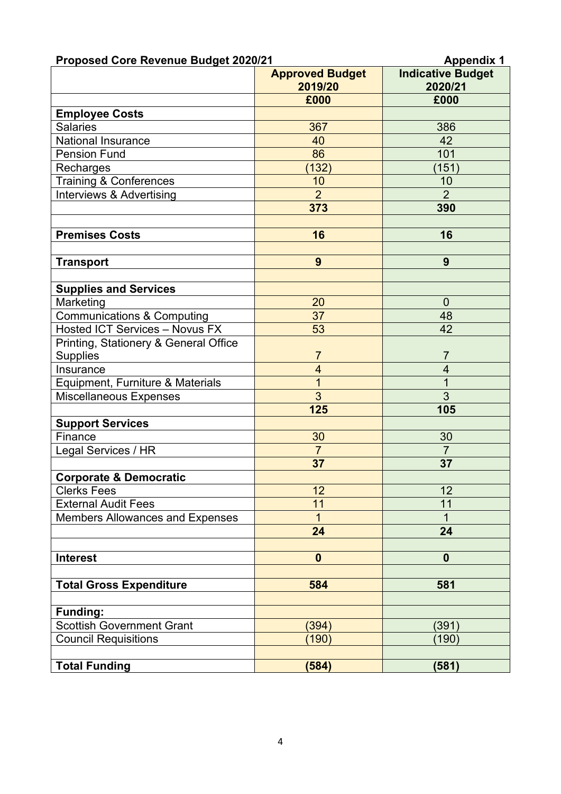| <b>Proposed Core Revenue Budget 2020/21</b> | <b>Appendix 1</b>                 |                                     |  |
|---------------------------------------------|-----------------------------------|-------------------------------------|--|
|                                             | <b>Approved Budget</b><br>2019/20 | <b>Indicative Budget</b><br>2020/21 |  |
|                                             | £000                              | £000                                |  |
| <b>Employee Costs</b>                       |                                   |                                     |  |
| <b>Salaries</b>                             | 367                               | 386                                 |  |
| <b>National Insurance</b>                   | 40                                | 42                                  |  |
| <b>Pension Fund</b>                         | 86                                | 101                                 |  |
| Recharges                                   | (132)                             | (151)                               |  |
| <b>Training &amp; Conferences</b>           | 10                                | 10                                  |  |
| Interviews & Advertising                    | $\overline{2}$                    | $\overline{2}$                      |  |
|                                             | 373                               | 390                                 |  |
| <b>Premises Costs</b>                       | 16                                | 16                                  |  |
|                                             |                                   |                                     |  |
| <b>Transport</b>                            | 9                                 | 9                                   |  |
|                                             |                                   |                                     |  |
| <b>Supplies and Services</b>                |                                   |                                     |  |
| Marketing                                   | 20                                | $\overline{0}$                      |  |
| <b>Communications &amp; Computing</b>       | 37                                | 48                                  |  |
| <b>Hosted ICT Services - Novus FX</b>       | 53                                | 42                                  |  |
| Printing, Stationery & General Office       |                                   |                                     |  |
| <b>Supplies</b>                             | $\overline{7}$                    | 7                                   |  |
| Insurance                                   | $\overline{\mathbf{4}}$           | $\overline{4}$                      |  |
| Equipment, Furniture & Materials            | $\overline{1}$                    | $\overline{1}$                      |  |
| <b>Miscellaneous Expenses</b>               | $\overline{3}$                    | $\overline{3}$                      |  |
|                                             | 125                               | 105                                 |  |
| <b>Support Services</b>                     |                                   |                                     |  |
| Finance                                     | 30                                | 30                                  |  |
| Legal Services / HR                         | $\overline{7}$                    | $\overline{7}$                      |  |
|                                             | 37                                | 37                                  |  |
| <b>Corporate &amp; Democratic</b>           |                                   |                                     |  |
| <b>Clerks Fees</b>                          | 12                                | 12                                  |  |
| <b>External Audit Fees</b>                  | 11                                | 11                                  |  |
| <b>Members Allowances and Expenses</b>      | $\mathbf 1$                       | 1                                   |  |
|                                             | 24                                | 24                                  |  |
| <b>Interest</b>                             | $\boldsymbol{0}$                  | $\mathbf 0$                         |  |
|                                             |                                   |                                     |  |
| <b>Total Gross Expenditure</b>              | 584                               | 581                                 |  |
|                                             |                                   |                                     |  |
| <b>Funding:</b>                             |                                   |                                     |  |
| <b>Scottish Government Grant</b>            | (394)                             | (391)                               |  |
| <b>Council Requisitions</b>                 | (190)                             | (190)                               |  |
| <b>Total Funding</b>                        | (584)                             | (581)                               |  |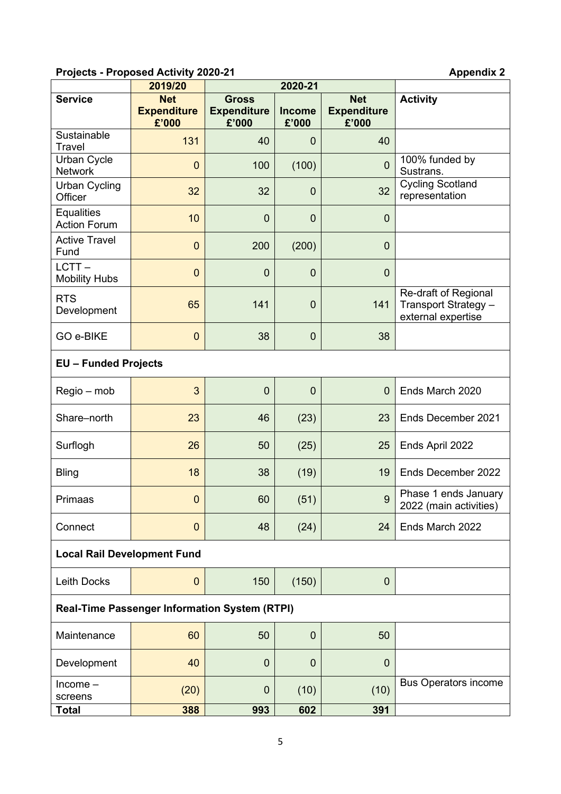## **Projects - Proposed Activity 2020-21 Appendix 2**

|                                                      | 2019/20                                   | 2020-21                                     |                        |                                           |                                                                    |  |  |  |
|------------------------------------------------------|-------------------------------------------|---------------------------------------------|------------------------|-------------------------------------------|--------------------------------------------------------------------|--|--|--|
| <b>Service</b>                                       | <b>Net</b><br><b>Expenditure</b><br>£'000 | <b>Gross</b><br><b>Expenditure</b><br>£'000 | <b>Income</b><br>£'000 | <b>Net</b><br><b>Expenditure</b><br>£'000 | <b>Activity</b>                                                    |  |  |  |
| Sustainable<br><b>Travel</b>                         | 131                                       | 40                                          | $\overline{0}$         | 40                                        |                                                                    |  |  |  |
| <b>Urban Cycle</b><br><b>Network</b>                 | $\overline{0}$                            | 100                                         | (100)                  | $\mathbf{0}$                              | 100% funded by<br>Sustrans.                                        |  |  |  |
| <b>Urban Cycling</b><br>Officer                      | 32                                        | 32                                          | $\mathbf 0$            | 32                                        | <b>Cycling Scotland</b><br>representation                          |  |  |  |
| <b>Equalities</b><br><b>Action Forum</b>             | 10                                        | $\mathbf 0$                                 | $\mathbf 0$            | $\mathbf{0}$                              |                                                                    |  |  |  |
| <b>Active Travel</b><br>Fund                         | $\overline{0}$                            | 200                                         | (200)                  | $\mathbf 0$                               |                                                                    |  |  |  |
| LCTT-<br><b>Mobility Hubs</b>                        | $\overline{0}$                            | $\mathbf 0$                                 | $\mathbf 0$            | $\mathbf{0}$                              |                                                                    |  |  |  |
| <b>RTS</b><br>Development                            | 65                                        | 141                                         | $\mathbf 0$            | 141                                       | Re-draft of Regional<br>Transport Strategy -<br>external expertise |  |  |  |
| GO e-BIKE                                            | $\mathbf 0$                               | 38                                          | $\overline{0}$         | 38                                        |                                                                    |  |  |  |
| <b>EU - Funded Projects</b>                          |                                           |                                             |                        |                                           |                                                                    |  |  |  |
| Regio – mob                                          | 3                                         | $\mathbf 0$                                 | $\overline{0}$         | $\overline{0}$                            | Ends March 2020                                                    |  |  |  |
| Share-north                                          | 23                                        | 46                                          | (23)                   | 23                                        | Ends December 2021                                                 |  |  |  |
| Surflogh                                             | 26                                        | 50                                          | (25)                   | 25                                        | Ends April 2022                                                    |  |  |  |
| <b>Bling</b>                                         | 18                                        | 38                                          | (19)                   | 19                                        | Ends December 2022                                                 |  |  |  |
| Primaas                                              | $\mathbf 0$                               | 60                                          | (51)                   | $\overline{9}$                            | Phase 1 ends January<br>2022 (main activities)                     |  |  |  |
| Connect                                              | $\mathbf{0}$                              | 48                                          | (24)                   | 24                                        | Ends March 2022                                                    |  |  |  |
| <b>Local Rail Development Fund</b>                   |                                           |                                             |                        |                                           |                                                                    |  |  |  |
| Leith Docks                                          | $\mathbf{0}$                              | 150                                         | (150)                  | 0                                         |                                                                    |  |  |  |
| <b>Real-Time Passenger Information System (RTPI)</b> |                                           |                                             |                        |                                           |                                                                    |  |  |  |
| Maintenance                                          | 60                                        | 50                                          | $\mathbf 0$            | 50                                        |                                                                    |  |  |  |
| Development                                          | 40                                        | $\mathbf 0$                                 | $\mathbf 0$            | $\mathbf{0}$                              |                                                                    |  |  |  |
| $Income-$<br>screens                                 | (20)                                      | $\mathbf 0$                                 | (10)                   | (10)                                      | <b>Bus Operators income</b>                                        |  |  |  |
| Total                                                | 388                                       | 993                                         | 602                    | 391                                       |                                                                    |  |  |  |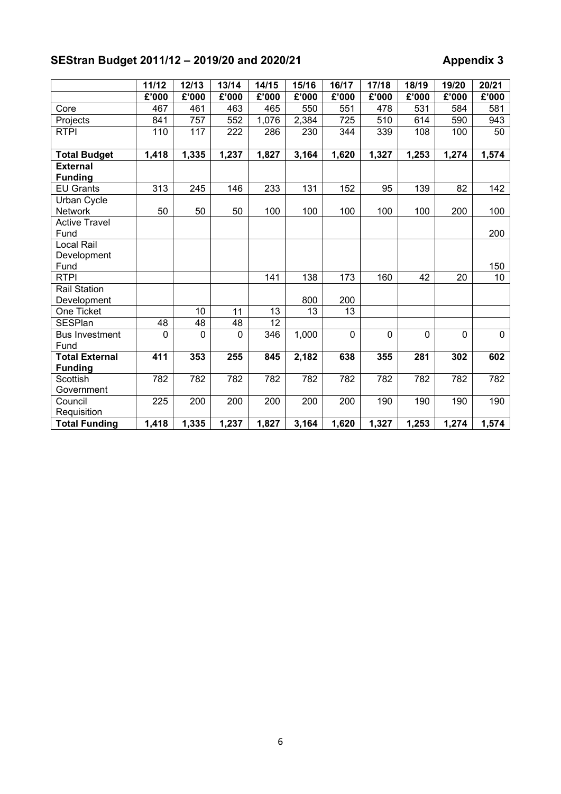# **SEStran Budget 2011/12 – 2019/20 and 2020/21 Appendix 3**

|                                   | 11/12    | 12/13        | 13/14        | 14/15             | 15/16 | 16/17       | 17/18 | 18/19        | 19/20        | 20/21    |
|-----------------------------------|----------|--------------|--------------|-------------------|-------|-------------|-------|--------------|--------------|----------|
|                                   | £'000    | £'000        | £'000        | £'000             | £'000 | £'000       | £'000 | £'000        | £'000        | £'000    |
| Core                              | 467      | 461          | 463          | 465               | 550   | 551         | 478   | 531          | 584          | 581      |
| Projects                          | 841      | 757          | 552          | 1,076             | 2,384 | 725         | 510   | 614          | 590          | 943      |
| <b>RTPI</b>                       | 110      | 117          | 222          | 286               | 230   | 344         | 339   | 108          | 100          | 50       |
|                                   |          |              |              |                   |       |             |       |              |              |          |
| <b>Total Budget</b>               | 1,418    | 1,335        | 1,237        | 1,827             | 3,164 | 1,620       | 1,327 | 1,253        | 1,274        | 1,574    |
| <b>External</b><br><b>Funding</b> |          |              |              |                   |       |             |       |              |              |          |
| <b>EU Grants</b>                  | 313      | 245          | 146          | 233               | 131   | 152         | 95    | 139          | 82           | 142      |
| Urban Cycle                       |          |              |              |                   |       |             |       |              |              |          |
| <b>Network</b>                    | 50       | 50           | 50           | 100               | 100   | 100         | 100   | 100          | 200          | 100      |
| <b>Active Travel</b>              |          |              |              |                   |       |             |       |              |              |          |
| Fund                              |          |              |              |                   |       |             |       |              |              | 200      |
| Local Rail                        |          |              |              |                   |       |             |       |              |              |          |
| Development                       |          |              |              |                   |       |             |       |              |              |          |
| Fund                              |          |              |              |                   |       |             |       |              |              | 150      |
| <b>RTPI</b>                       |          |              |              | 141               | 138   | 173         | 160   | 42           | 20           | 10       |
| <b>Rail Station</b>               |          |              |              |                   |       |             |       |              |              |          |
| Development                       |          |              |              |                   | 800   | 200         |       |              |              |          |
| One Ticket                        |          | 10           | 11           | 13                | 13    | 13          |       |              |              |          |
| <b>SESPlan</b>                    | 48       | 48           | 48           | $\overline{12}$   |       |             |       |              |              |          |
| <b>Bus Investment</b>             | $\Omega$ | $\mathbf{0}$ | $\mathbf{0}$ | $\overline{3}$ 46 | 1,000 | $\mathbf 0$ | 0     | $\mathbf{0}$ | $\mathbf{0}$ | $\Omega$ |
| Fund                              |          |              |              |                   |       |             |       |              |              |          |
| <b>Total External</b>             | 411      | 353          | 255          | 845               | 2,182 | 638         | 355   | 281          | 302          | 602      |
| <b>Funding</b>                    |          |              |              |                   |       |             |       |              |              |          |
| <b>Scottish</b>                   | 782      | 782          | 782          | 782               | 782   | 782         | 782   | 782          | 782          | 782      |
| Government                        |          |              |              |                   |       |             |       |              |              |          |
| Council                           | 225      | 200          | 200          | 200               | 200   | 200         | 190   | 190          | 190          | 190      |
| Requisition                       |          |              |              |                   |       |             |       |              |              |          |
| <b>Total Funding</b>              | 1,418    | 1,335        | 1,237        | 1,827             | 3,164 | 1,620       | 1,327 | 1,253        | 1,274        | 1,574    |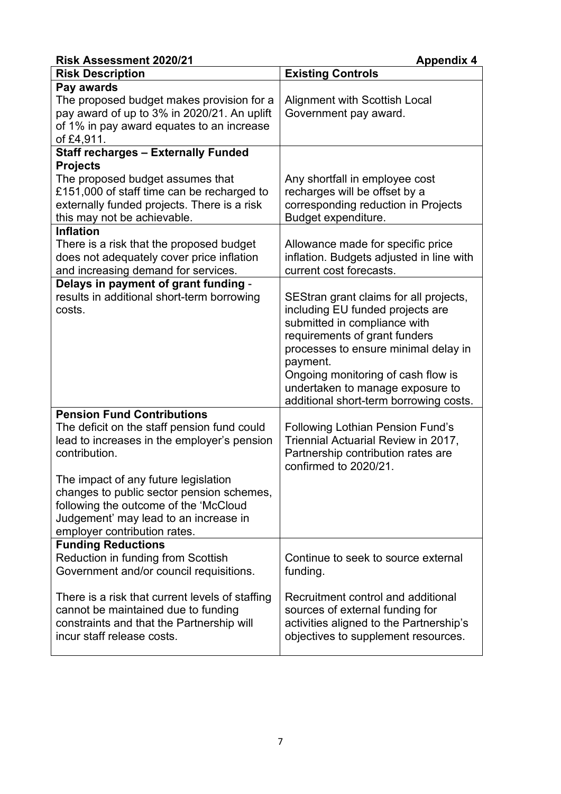| <b>Risk Assessment 2020/21</b>                                                                                                                                                  | <b>Appendix 4</b>                                                                                                                                                                                                                                                                                                   |
|---------------------------------------------------------------------------------------------------------------------------------------------------------------------------------|---------------------------------------------------------------------------------------------------------------------------------------------------------------------------------------------------------------------------------------------------------------------------------------------------------------------|
| <b>Risk Description</b>                                                                                                                                                         | <b>Existing Controls</b>                                                                                                                                                                                                                                                                                            |
| Pay awards<br>The proposed budget makes provision for a<br>pay award of up to 3% in 2020/21. An uplift<br>of 1% in pay award equates to an increase<br>of £4,911.               | <b>Alignment with Scottish Local</b><br>Government pay award.                                                                                                                                                                                                                                                       |
| <b>Staff recharges - Externally Funded</b>                                                                                                                                      |                                                                                                                                                                                                                                                                                                                     |
| <b>Projects</b><br>The proposed budget assumes that<br>£151,000 of staff time can be recharged to<br>externally funded projects. There is a risk<br>this may not be achievable. | Any shortfall in employee cost<br>recharges will be offset by a<br>corresponding reduction in Projects<br>Budget expenditure.                                                                                                                                                                                       |
| <b>Inflation</b>                                                                                                                                                                |                                                                                                                                                                                                                                                                                                                     |
| There is a risk that the proposed budget<br>does not adequately cover price inflation<br>and increasing demand for services.                                                    | Allowance made for specific price<br>inflation. Budgets adjusted in line with<br>current cost forecasts.                                                                                                                                                                                                            |
| Delays in payment of grant funding -                                                                                                                                            |                                                                                                                                                                                                                                                                                                                     |
| results in additional short-term borrowing<br>costs.                                                                                                                            | SEStran grant claims for all projects,<br>including EU funded projects are<br>submitted in compliance with<br>requirements of grant funders<br>processes to ensure minimal delay in<br>payment.<br>Ongoing monitoring of cash flow is<br>undertaken to manage exposure to<br>additional short-term borrowing costs. |
| <b>Pension Fund Contributions</b>                                                                                                                                               |                                                                                                                                                                                                                                                                                                                     |
| The deficit on the staff pension fund could<br>lead to increases in the employer's pension<br>contribution.                                                                     | <b>Following Lothian Pension Fund's</b><br>Triennial Actuarial Review in 2017,<br>Partnership contribution rates are<br>confirmed to 2020/21.                                                                                                                                                                       |
| The impact of any future legislation<br>changes to public sector pension schemes,<br>following the outcome of the 'McCloud                                                      |                                                                                                                                                                                                                                                                                                                     |
| Judgement' may lead to an increase in<br>employer contribution rates.                                                                                                           |                                                                                                                                                                                                                                                                                                                     |
| <b>Funding Reductions</b>                                                                                                                                                       |                                                                                                                                                                                                                                                                                                                     |
| Reduction in funding from Scottish<br>Government and/or council requisitions.                                                                                                   | Continue to seek to source external<br>funding.                                                                                                                                                                                                                                                                     |
| There is a risk that current levels of staffing<br>cannot be maintained due to funding<br>constraints and that the Partnership will<br>incur staff release costs.               | Recruitment control and additional<br>sources of external funding for<br>activities aligned to the Partnership's<br>objectives to supplement resources.                                                                                                                                                             |